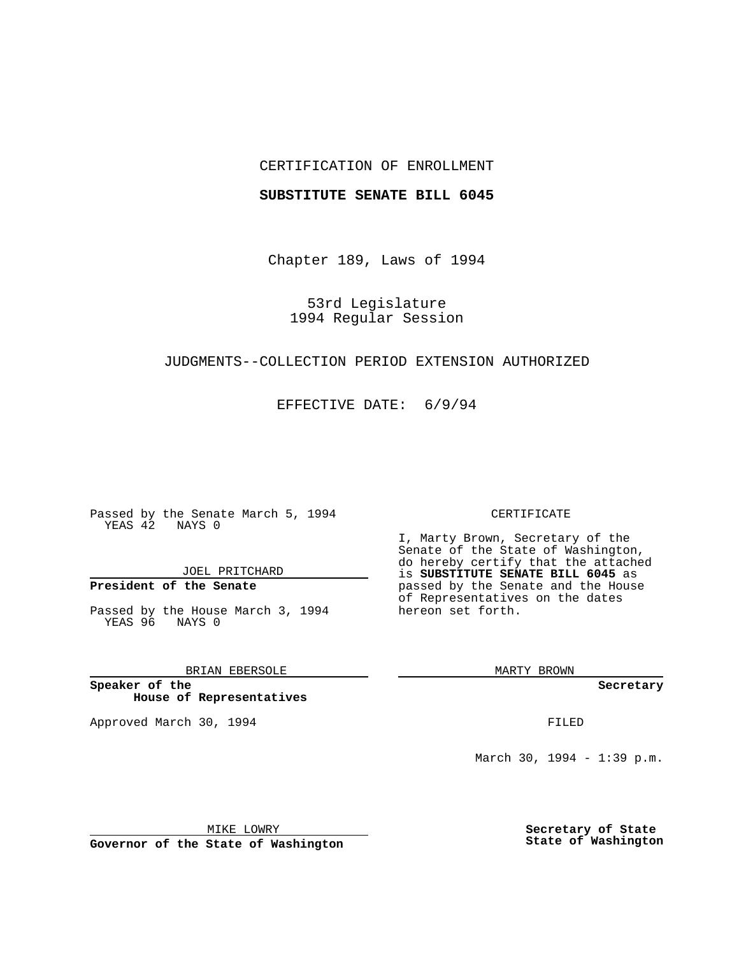## CERTIFICATION OF ENROLLMENT

### **SUBSTITUTE SENATE BILL 6045**

Chapter 189, Laws of 1994

53rd Legislature 1994 Regular Session

## JUDGMENTS--COLLECTION PERIOD EXTENSION AUTHORIZED

EFFECTIVE DATE: 6/9/94

Passed by the Senate March 5, 1994 YEAS 42 NAYS 0

JOEL PRITCHARD

# **President of the Senate**

Passed by the House March 3, 1994 YEAS 96 NAYS 0

## BRIAN EBERSOLE

**Speaker of the House of Representatives**

Approved March 30, 1994 **FILED** 

#### CERTIFICATE

I, Marty Brown, Secretary of the Senate of the State of Washington, do hereby certify that the attached is **SUBSTITUTE SENATE BILL 6045** as passed by the Senate and the House of Representatives on the dates hereon set forth.

MARTY BROWN

**Secretary**

March 30, 1994 - 1:39 p.m.

MIKE LOWRY

**Governor of the State of Washington**

**Secretary of State State of Washington**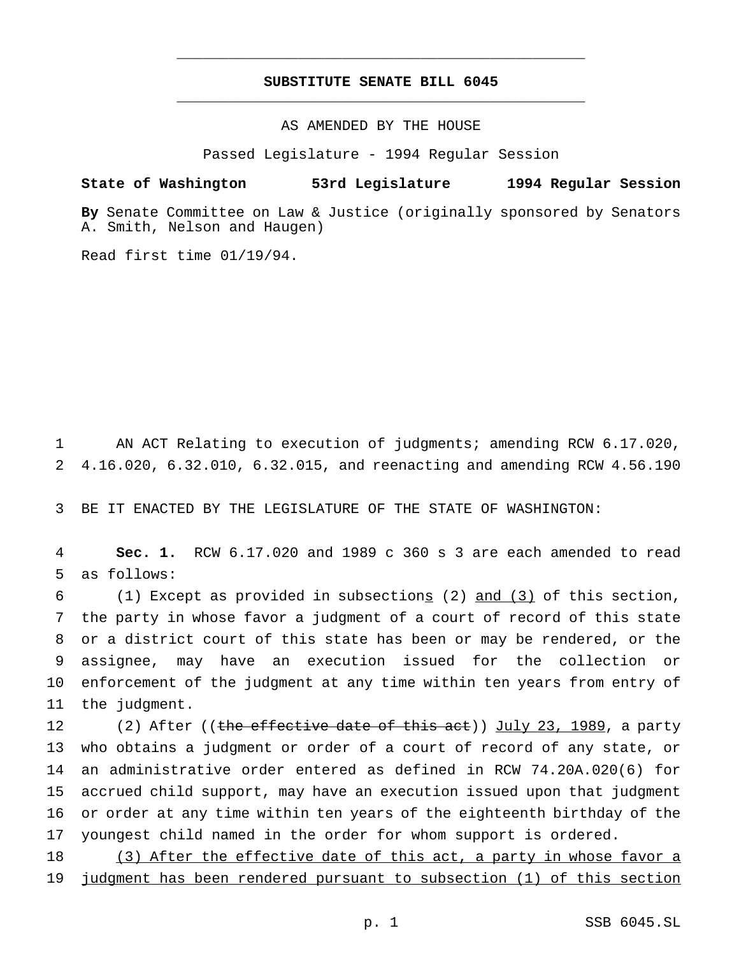# **SUBSTITUTE SENATE BILL 6045** \_\_\_\_\_\_\_\_\_\_\_\_\_\_\_\_\_\_\_\_\_\_\_\_\_\_\_\_\_\_\_\_\_\_\_\_\_\_\_\_\_\_\_\_\_\_\_

\_\_\_\_\_\_\_\_\_\_\_\_\_\_\_\_\_\_\_\_\_\_\_\_\_\_\_\_\_\_\_\_\_\_\_\_\_\_\_\_\_\_\_\_\_\_\_

AS AMENDED BY THE HOUSE

Passed Legislature - 1994 Regular Session

### **State of Washington 53rd Legislature 1994 Regular Session**

**By** Senate Committee on Law & Justice (originally sponsored by Senators A. Smith, Nelson and Haugen)

Read first time 01/19/94.

1 AN ACT Relating to execution of judgments; amending RCW 6.17.020, 2 4.16.020, 6.32.010, 6.32.015, and reenacting and amending RCW 4.56.190

3 BE IT ENACTED BY THE LEGISLATURE OF THE STATE OF WASHINGTON:

4 **Sec. 1.** RCW 6.17.020 and 1989 c 360 s 3 are each amended to read 5 as follows:

 (1) Except as provided in subsections (2) and (3) of this section, the party in whose favor a judgment of a court of record of this state or a district court of this state has been or may be rendered, or the assignee, may have an execution issued for the collection or enforcement of the judgment at any time within ten years from entry of the judgment.

12 (2) After ((the effective date of this act)) July 23, 1989, a party who obtains a judgment or order of a court of record of any state, or an administrative order entered as defined in RCW 74.20A.020(6) for accrued child support, may have an execution issued upon that judgment or order at any time within ten years of the eighteenth birthday of the youngest child named in the order for whom support is ordered.

18 (3) After the effective date of this act, a party in whose favor a 19 judgment has been rendered pursuant to subsection (1) of this section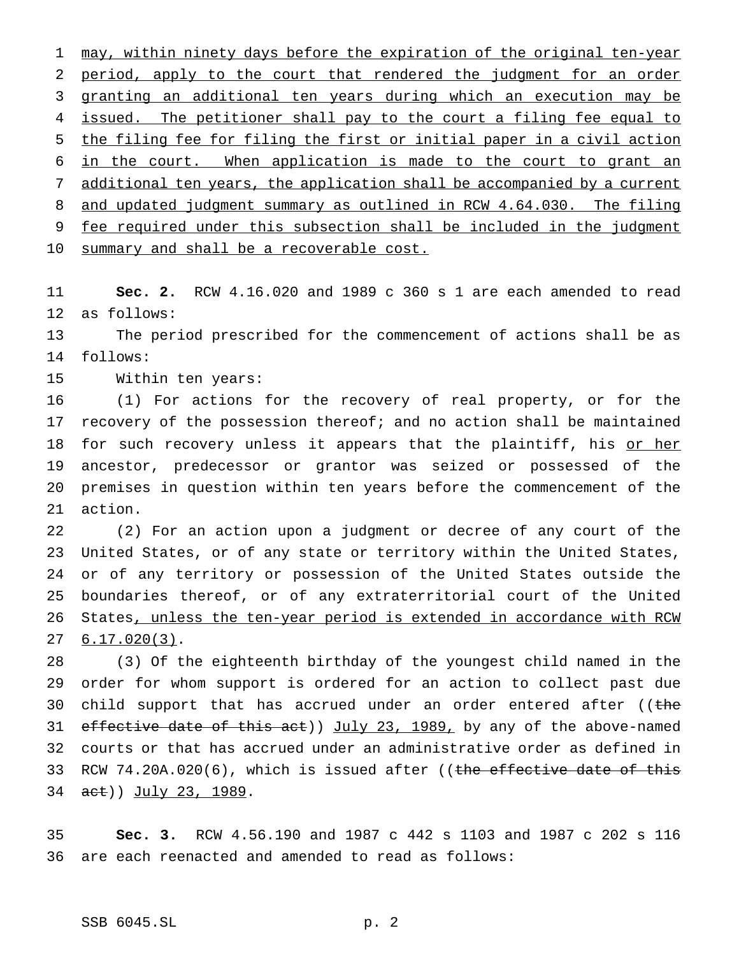1 may, within ninety days before the expiration of the original ten-year 2 period, apply to the court that rendered the judgment for an order granting an additional ten years during which an execution may be 4 issued. The petitioner shall pay to the court a filing fee equal to the filing fee for filing the first or initial paper in a civil action in the court. When application is made to the court to grant an additional ten years, the application shall be accompanied by a current 8 and updated judgment summary as outlined in RCW 4.64.030. The filing fee required under this subsection shall be included in the judgment 10 summary and shall be a recoverable cost.

 **Sec. 2.** RCW 4.16.020 and 1989 c 360 s 1 are each amended to read as follows:

 The period prescribed for the commencement of actions shall be as follows:

Within ten years:

 (1) For actions for the recovery of real property, or for the recovery of the possession thereof; and no action shall be maintained 18 for such recovery unless it appears that the plaintiff, his or her ancestor, predecessor or grantor was seized or possessed of the premises in question within ten years before the commencement of the action.

 (2) For an action upon a judgment or decree of any court of the United States, or of any state or territory within the United States, or of any territory or possession of the United States outside the boundaries thereof, or of any extraterritorial court of the United States, unless the ten-year period is extended in accordance with RCW 6.17.020(3).

 (3) Of the eighteenth birthday of the youngest child named in the order for whom support is ordered for an action to collect past due 30 child support that has accrued under an order entered after ((the 31 effective date of this act)) July 23, 1989, by any of the above-named courts or that has accrued under an administrative order as defined in 33 RCW 74.20A.020(6), which is issued after ((the effective date of this 34 act)) July 23, 1989.

 **Sec. 3.** RCW 4.56.190 and 1987 c 442 s 1103 and 1987 c 202 s 116 are each reenacted and amended to read as follows: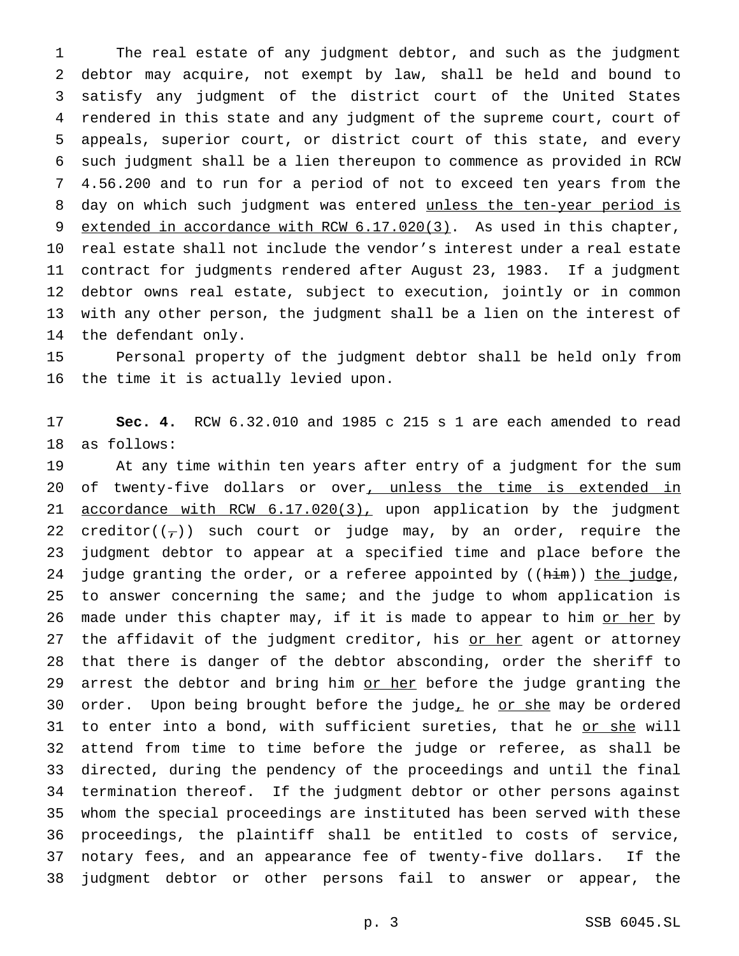The real estate of any judgment debtor, and such as the judgment debtor may acquire, not exempt by law, shall be held and bound to satisfy any judgment of the district court of the United States rendered in this state and any judgment of the supreme court, court of appeals, superior court, or district court of this state, and every such judgment shall be a lien thereupon to commence as provided in RCW 4.56.200 and to run for a period of not to exceed ten years from the 8 day on which such judgment was entered unless the ten-year period is 9 extended in accordance with RCW 6.17.020(3). As used in this chapter, real estate shall not include the vendor's interest under a real estate contract for judgments rendered after August 23, 1983. If a judgment debtor owns real estate, subject to execution, jointly or in common with any other person, the judgment shall be a lien on the interest of the defendant only.

 Personal property of the judgment debtor shall be held only from the time it is actually levied upon.

 **Sec. 4.** RCW 6.32.010 and 1985 c 215 s 1 are each amended to read as follows:

 At any time within ten years after entry of a judgment for the sum 20 of twenty-five dollars or over, unless the time is extended in 21 accordance with RCW 6.17.020(3), upon application by the judgment 22 creditor( $(\tau)$ ) such court or judge may, by an order, require the judgment debtor to appear at a specified time and place before the 24 judge granting the order, or a referee appointed by ((him)) the judge, to answer concerning the same; and the judge to whom application is 26 made under this chapter may, if it is made to appear to him or her by 27 the affidavit of the judgment creditor, his or her agent or attorney that there is danger of the debtor absconding, order the sheriff to 29 arrest the debtor and bring him or her before the judge granting the 30 order. Upon being brought before the judge<sub> $L$ </sub> he or she may be ordered 31 to enter into a bond, with sufficient sureties, that he or she will attend from time to time before the judge or referee, as shall be directed, during the pendency of the proceedings and until the final termination thereof. If the judgment debtor or other persons against whom the special proceedings are instituted has been served with these proceedings, the plaintiff shall be entitled to costs of service, notary fees, and an appearance fee of twenty-five dollars. If the judgment debtor or other persons fail to answer or appear, the